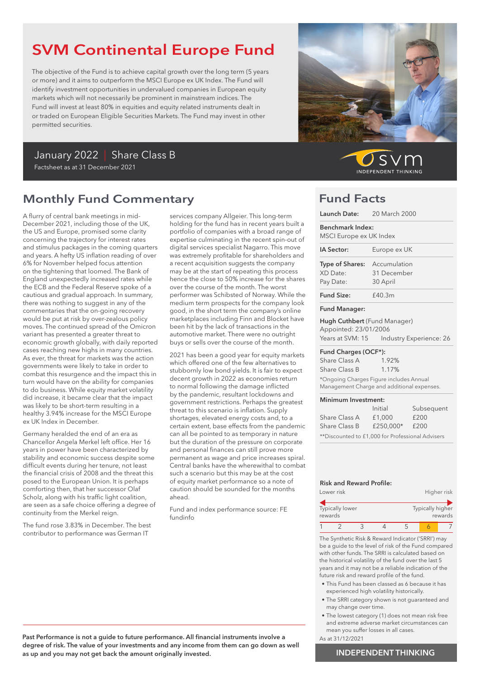# SVM Continental Europe Fund

The objective of the Fund is to achieve capital growth over the long term (5 years or more) and it aims to outperform the MSCI Europe ex UK Index. The Fund will identify investment opportunities in undervalued companies in European equity markets which will not necessarily be prominent in mainstream indices. The Fund will invest at least 80% in equities and equity related instruments dealt in or traded on European Eligible Securities Markets. The Fund may invest in other permitted securities.

## January 2022 | Share Class B Factsheet as at 31 December 2021

# Monthly Fund Commentary

A flurry of central bank meetings in mid-December 2021, including those of the UK, the US and Europe, promised some clarity concerning the trajectory for interest rates and stimulus packages in the coming quarters and years. A hefty US inflation reading of over 6% for November helped focus attention on the tightening that loomed. The Bank of England unexpectedly increased rates while the ECB and the Federal Reserve spoke of a cautious and gradual approach. In summary, there was nothing to suggest in any of the commentaries that the on-going recovery would be put at risk by over-zealous policy moves. The continued spread of the Omicron variant has presented a greater threat to economic growth globally, with daily reported cases reaching new highs in many countries. As ever, the threat for markets was the action governments were likely to take in order to combat this resurgence and the impact this in turn would have on the ability for companies to do business. While equity market volatility did increase, it became clear that the impact was likely to be short-term resulting in a healthy 3.94% increase for the MSCI Europe ex UK Index in December.

Germany heralded the end of an era as Chancellor Angela Merkel left office. Her 16 years in power have been characterized by stability and economic success despite some difficult events during her tenure, not least the financial crisis of 2008 and the threat this posed to the European Union. It is perhaps comforting then, that her successor Olaf Scholz, along with his traffic light coalition, are seen as a safe choice offering a degree of continuity from the Merkel reign.

The fund rose 3.83% in December. The best contributor to performance was German IT

services company Allgeier. This long-term holding for the fund has in recent years built a portfolio of companies with a broad range of expertise culminating in the recent spin-out of digital services specialist Nagarro. This move was extremely profitable for shareholders and a recent acquisition suggests the company may be at the start of repeating this process hence the close to 50% increase for the shares over the course of the month. The worst performer was Schibsted of Norway. While the medium term prospects for the company look good, in the short term the company's online marketplaces including Finn and Blocket have been hit by the lack of transactions in the automotive market. There were no outright buys or sells over the course of the month.

2021 has been a good year for equity markets which offered one of the few alternatives to stubbornly low bond yields. It is fair to expect decent growth in 2022 as economies return to normal following the damage inflicted by the pandemic, resultant lockdowns and government restrictions. Perhaps the greatest threat to this scenario is inflation. Supply shortages, elevated energy costs and, to a certain extent, base effects from the pandemic can all be pointed to as temporary in nature but the duration of the pressure on corporate and personal finances can still prove more permanent as wage and price increases spiral. Central banks have the wherewithal to combat such a scenario but this may be at the cost of equity market performance so a note of caution should be sounded for the months ahead.

Fund and index performance source: FE fundinfo



 $SVI$ **INDEPENDENT THINKING** 

# Fund Facts

| Launch Date: 20 March 2000                            |                                                                                       |
|-------------------------------------------------------|---------------------------------------------------------------------------------------|
| Benchmark Index:<br>MSCI Europe ex UK Index           |                                                                                       |
| IA Sector:                                            | Europe ex UK                                                                          |
| Type of Shares:<br>XD Date:<br>Pay Date:              | Accumulation<br>31 December<br>30 April                                               |
| <b>Fund Size:</b>                                     | £40.3m                                                                                |
| <b>Fund Manager:</b>                                  |                                                                                       |
| Hugh Cuthbert (Fund Manager)<br>Appointed: 23/01/2006 | Years at SVM: 15    Industry Experience: 26                                           |
| Fund Charges (OCF*):                                  |                                                                                       |
| Share Class A                                         | $1.92\%$                                                                              |
| Share Class B                                         | $1.17\%$                                                                              |
|                                                       | *Ongoing Charges Figure includes Annual<br>Management Charge and additional expenses. |
| Minimum Investment:                                   | C.<br>امندما                                                                          |

|                                                  | Initial   | Subsequent |  |  |
|--------------------------------------------------|-----------|------------|--|--|
| Share Class A                                    | £1,000    | £200       |  |  |
| Share Class B                                    | £250.000* | £200       |  |  |
| **Discounted to £1,000 for Professional Advisers |           |            |  |  |

### Risk and Reward Profile:

| Lower risk |                        |  | Higher risk |  |                  |         |
|------------|------------------------|--|-------------|--|------------------|---------|
| rewards    | <b>Typically lower</b> |  |             |  | Typically higher | rewards |
|            |                        |  |             |  |                  |         |

The Synthetic Risk & Reward Indicator ('SRRI') may be a guide to the level of risk of the Fund compared with other funds. The SRRI is calculated based on the historical volatility of the fund over the last 5 years and it may not be a reliable indication of the future risk and reward profile of the fund.

- This Fund has been classed as 6 because it has experienced high volatility historically.
- The SRRI category shown is not guaranteed and may change over time.
- The lowest category (1) does not mean risk free and extreme adverse market circumstances can mean you suffer losses in all cases.

As at 31/12/2021

Past Performance is not a guide to future performance. All financial instruments involve a degree of risk. The value of your investments and any income from them can go down as well as up and you may not get back the amount originally invested.

### INDEPENDENT THINKING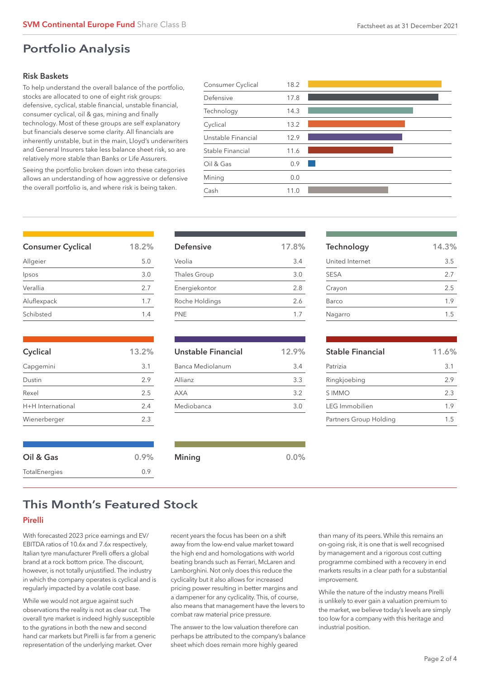# Portfolio Analysis

### Risk Baskets

To help understand the overall balance of the portfolio, stocks are allocated to one of eight risk groups: defensive, cyclical, stable financial, unstable financial, consumer cyclical, oil & gas, mining and finally technology. Most of these groups are self explanatory but financials deserve some clarity. All financials are inherently unstable, but in the main, Lloyd's underwriters and General Insurers take less balance sheet risk, so are relatively more stable than Banks or Life Assurers.

Seeing the portfolio broken down into these categories allows an understanding of how aggressive or defensive the overall portfolio is, and where risk is being taken.

| Consumer Cyclical  | 18.2 |  |
|--------------------|------|--|
| Defensive          | 17.8 |  |
| Technology         | 14.3 |  |
| Cyclical           | 13.2 |  |
| Unstable Financial | 12.9 |  |
| Stable Financial   | 11.6 |  |
| Oil & Gas          | 0.9  |  |
| Mining             | 0.0  |  |
| Cash               | 11.0 |  |
|                    |      |  |

| <b>Consumer Cyclical</b> | 18.2% |
|--------------------------|-------|
| Allgeier                 | 5.0   |
| Ipsos                    | 3.0   |
| Verallia                 | 2.7   |
| Aluflexpack              | 1.7   |
| Schibsted                | 14    |

| Cyclical          | 13.2% |
|-------------------|-------|
| Capgemini         | 3.1   |
| Dustin            | 29    |
| Rexel             | 2.5   |
| H+H International | 2.4   |
| Wienerberger      | 2.3   |

Oil & Gas 0.9% TotalEnergies 0.9

| 17.8% |
|-------|
| 3.4   |
| 3.0   |
| 2.8   |
| 2.6   |
| 1.7   |
|       |

| Unstable Financial | 12.9% |
|--------------------|-------|
| Banca Mediolanum   | 3.4   |
| Allianz            | 33    |
| AXA                | 3.2   |
| Mediobanca         | 3 O   |

Mining 0.0%

| Stable Einancial | 11601 |
|------------------|-------|
|                  |       |
| Nagarro          | 1.5   |
| Barco            | 1.9   |
| Crayon           | 2.5   |
| <b>SESA</b>      | 2.7   |

Technology 14.3% United Internet 3.5

| <b>Stable Financial</b> | 11.6% |
|-------------------------|-------|
| Patrizia                | 3.1   |
| Ringkjoebing            | 2.9   |
| S IMMO                  | 23    |
| <b>IFG</b> Immobilien   | 19    |
| Partners Group Holding  | 15    |

# This Month's Featured Stock

### Pirelli

With forecasted 2023 price earnings and EV/ EBITDA ratios of 10.6x and 7.6x respectively, Italian tyre manufacturer Pirelli offers a global brand at a rock bottom price. The discount, however, is not totally unjustified. The industry in which the company operates is cyclical and is regularly impacted by a volatile cost base.

While we would not argue against such observations the reality is not as clear cut. The overall tyre market is indeed highly susceptible to the gyrations in both the new and second hand car markets but Pirelli is far from a generic representation of the underlying market. Over

recent years the focus has been on a shift away from the low-end value market toward the high end and homologations with world beating brands such as Ferrari, McLaren and Lamborghini. Not only does this reduce the cyclicality but it also allows for increased pricing power resulting in better margins and a dampener for any cyclicality. This, of course, also means that management have the levers to combat raw material price pressure.

The answer to the low valuation therefore can perhaps be attributed to the company's balance sheet which does remain more highly geared

than many of its peers. While this remains an on-going risk, it is one that is well recognised by management and a rigorous cost cutting programme combined with a recovery in end markets results in a clear path for a substantial improvement.

While the nature of the industry means Pirelli is unlikely to ever gain a valuation premium to the market, we believe today's levels are simply too low for a company with this heritage and industrial position.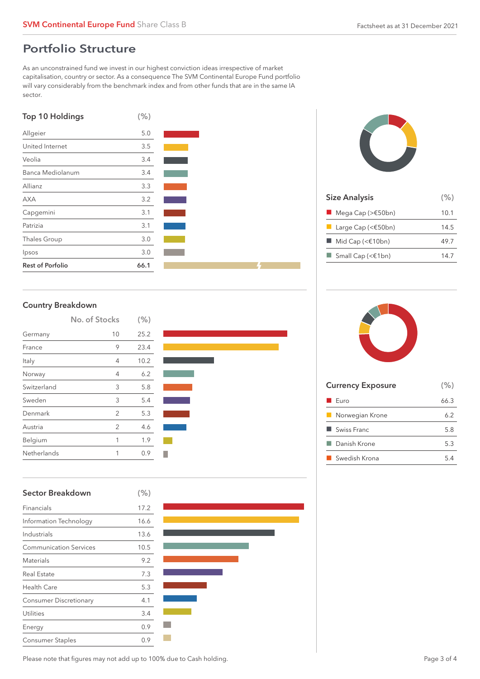# Portfolio Structure

As an unconstrained fund we invest in our highest conviction ideas irrespective of market capitalisation, country or sector. As a consequence The SVM Continental Europe Fund portfolio will vary considerably from the benchmark index and from other funds that are in the same IA sector.

| <b>Top 10 Holdings</b>  | (% ) |  |
|-------------------------|------|--|
| Allgeier                | 5.0  |  |
| United Internet         | 3.5  |  |
| Veolia                  | 3.4  |  |
| Banca Mediolanum        | 3.4  |  |
| Allianz                 | 3.3  |  |
| <b>AXA</b>              | 3.2  |  |
| Capgemini               | 3.1  |  |
| Patrizia                | 3.1  |  |
| <b>Thales Group</b>     | 3.0  |  |
| Ipsos                   | 3.0  |  |
| <b>Rest of Porfolio</b> | 66.1 |  |



| <b>Size Analysis</b>                        | $(\% )$ |
|---------------------------------------------|---------|
| $\blacksquare$ Mega Cap (> $\epsilon$ 50bn) | 10.1    |
| Large Cap (< $$50bn)$                       | 14.5    |
| $\blacksquare$ Mid Cap (< $\in$ 10bn)       | 49.7    |
| $\Box$ Small Cap (< $\in$ 1bn)              | 14.7    |
|                                             |         |

### Country Breakdown

|             | No. of Stocks  | (% ) |  |
|-------------|----------------|------|--|
| Germany     | 10             | 25.2 |  |
| France      | 9              | 23.4 |  |
| Italy       | 4              | 10.2 |  |
| Norway      | 4              | 6.2  |  |
| Switzerland | 3              | 5.8  |  |
| Sweden      | 3              | 5.4  |  |
| Denmark     | $\overline{2}$ | 5.3  |  |
| Austria     | 2              | 4.6  |  |
| Belgium     | 1              | 1.9  |  |
| Netherlands |                | 0.9  |  |



### Sector Breakdown (%)

| Financials                    | 17.2 |
|-------------------------------|------|
| Information Technology        | 16.6 |
| Industrials                   | 13.6 |
| <b>Communication Services</b> | 10.5 |
| <b>Materials</b>              | 9.2  |
| Real Estate                   | 7.3  |
| <b>Health Care</b>            | 5.3  |
| <b>Consumer Discretionary</b> | 4.1  |
| <b>Utilities</b>              | 3.4  |
| Energy                        | 0.9  |
| <b>Consumer Staples</b>       | 0.9  |

| <b>Currency Exposure</b> | (% ) |
|--------------------------|------|
| $\blacksquare$ Furo      | 66.3 |
| Norwegian Krone<br>ш     | 62   |
| Swiss Franc              | 5.8  |
| ■ Danish Krone           | 53   |
| ■ Swedish Krona          | 54   |
|                          |      |

Please note that figures may not add up to 100% due to Cash holding.